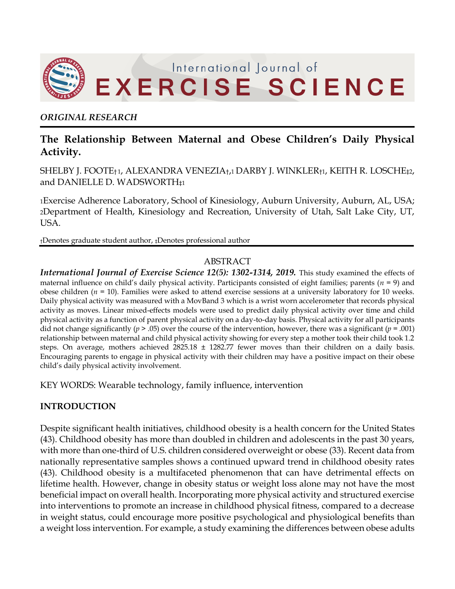

## *ORIGINAL RESEARCH*

# **The Relationship Between Maternal and Obese Children's Daily Physical Activity.**

SHELBY J. FOOTE† <sup>1</sup>, ALEXANDRA VENEZIA†,1 DARBY J. WINKLER†1, KEITH R. LOSCHE‡2, and DANIELLE D. WADSWORTH‡<sup>1</sup>

<sup>1</sup>Exercise Adherence Laboratory, School of Kinesiology, Auburn University, Auburn, AL, USA; <sup>2</sup>Department of Health, Kinesiology and Recreation, University of Utah, Salt Lake City, UT, USA.

†Denotes graduate student author, ‡Denotes professional author

## ABSTRACT

*International Journal of Exercise Science 12(5): 1302-1314, 2019.* This study examined the effects of maternal influence on child's daily physical activity. Participants consisted of eight families; parents (*n* = 9) and obese children (*n* = 10). Families were asked to attend exercise sessions at a university laboratory for 10 weeks. Daily physical activity was measured with a MovBand 3 which is a wrist worn accelerometer that records physical activity as moves. Linear mixed-effects models were used to predict daily physical activity over time and child physical activity as a function of parent physical activity on a day-to-day basis. Physical activity for all participants did not change significantly ( $p > .05$ ) over the course of the intervention, however, there was a significant ( $p = .001$ ) relationship between maternal and child physical activity showing for every step a mother took their child took 1.2 steps. On average, mothers achieved 2825.18 ± 1282.77 fewer moves than their children on a daily basis. Encouraging parents to engage in physical activity with their children may have a positive impact on their obese child's daily physical activity involvement.

KEY WORDS: Wearable technology, family influence, intervention

## **INTRODUCTION**

Despite significant health initiatives, childhood obesity is a health concern for the United States (43). Childhood obesity has more than doubled in children and adolescents in the past 30 years, with more than one-third of U.S. children considered overweight or obese (33). Recent data from nationally representative samples shows a continued upward trend in childhood obesity rates (43). Childhood obesity is a multifaceted phenomenon that can have detrimental effects on lifetime health. However, change in obesity status or weight loss alone may not have the most beneficial impact on overall health. Incorporating more physical activity and structured exercise into interventions to promote an increase in childhood physical fitness, compared to a decrease in weight status, could encourage more positive psychological and physiological benefits than a weight loss intervention. For example, a study examining the differences between obese adults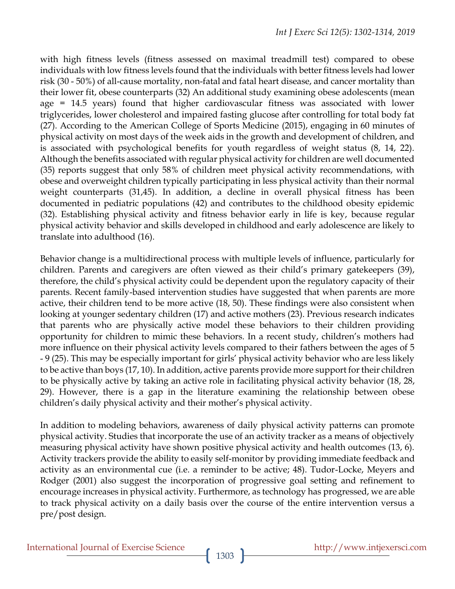with high fitness levels (fitness assessed on maximal treadmill test) compared to obese individuals with low fitness levels found that the individuals with better fitness levels had lower risk (30 - 50%) of all-cause mortality, non-fatal and fatal heart disease, and cancer mortality than their lower fit, obese counterparts (32) An additional study examining obese adolescents (mean age = 14.5 years) found that higher cardiovascular fitness was associated with lower triglycerides, lower cholesterol and impaired fasting glucose after controlling for total body fat (27). According to the American College of Sports Medicine (2015), engaging in 60 minutes of physical activity on most days of the week aids in the growth and development of children, and is associated with psychological benefits for youth regardless of weight status (8, 14, 22). Although the benefits associated with regular physical activity for children are well documented (35) reports suggest that only 58% of children meet physical activity recommendations, with obese and overweight children typically participating in less physical activity than their normal weight counterparts (31,45). In addition, a decline in overall physical fitness has been documented in pediatric populations (42) and contributes to the childhood obesity epidemic (32). Establishing physical activity and fitness behavior early in life is key, because regular physical activity behavior and skills developed in childhood and early adolescence are likely to translate into adulthood (16).

Behavior change is a multidirectional process with multiple levels of influence, particularly for children. Parents and caregivers are often viewed as their child's primary gatekeepers (39), therefore, the child's physical activity could be dependent upon the regulatory capacity of their parents. Recent family-based intervention studies have suggested that when parents are more active, their children tend to be more active (18, 50). These findings were also consistent when looking at younger sedentary children (17) and active mothers (23). Previous research indicates that parents who are physically active model these behaviors to their children providing opportunity for children to mimic these behaviors. In a recent study, children's mothers had more influence on their physical activity levels compared to their fathers between the ages of 5 - 9 (25). This may be especially important for girls' physical activity behavior who are less likely to be active than boys (17, 10). In addition, active parents provide more support for their children to be physically active by taking an active role in facilitating physical activity behavior (18, 28, 29). However, there is a gap in the literature examining the relationship between obese children's daily physical activity and their mother's physical activity.

In addition to modeling behaviors, awareness of daily physical activity patterns can promote physical activity. Studies that incorporate the use of an activity tracker as a means of objectively measuring physical activity have shown positive physical activity and health outcomes (13, 6). Activity trackers provide the ability to easily self-monitor by providing immediate feedback and activity as an environmental cue (i.e. a reminder to be active; 48). Tudor-Locke, Meyers and Rodger (2001) also suggest the incorporation of progressive goal setting and refinement to encourage increases in physical activity. Furthermore, as technology has progressed, we are able to track physical activity on a daily basis over the course of the entire intervention versus a pre/post design.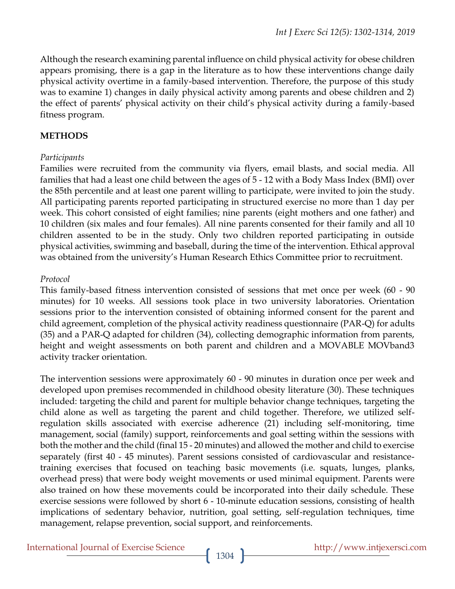Although the research examining parental influence on child physical activity for obese children appears promising, there is a gap in the literature as to how these interventions change daily physical activity overtime in a family-based intervention. Therefore, the purpose of this study was to examine 1) changes in daily physical activity among parents and obese children and 2) the effect of parents' physical activity on their child's physical activity during a family-based fitness program.

## **METHODS**

## *Participants*

Families were recruited from the community via flyers, email blasts, and social media. All families that had a least one child between the ages of 5 - 12 with a Body Mass Index (BMI) over the 85th percentile and at least one parent willing to participate, were invited to join the study. All participating parents reported participating in structured exercise no more than 1 day per week. This cohort consisted of eight families; nine parents (eight mothers and one father) and 10 children (six males and four females). All nine parents consented for their family and all 10 children assented to be in the study. Only two children reported participating in outside physical activities, swimming and baseball, during the time of the intervention. Ethical approval was obtained from the university's Human Research Ethics Committee prior to recruitment.

## *Protocol*

This family-based fitness intervention consisted of sessions that met once per week (60 - 90 minutes) for 10 weeks. All sessions took place in two university laboratories. Orientation sessions prior to the intervention consisted of obtaining informed consent for the parent and child agreement, completion of the physical activity readiness questionnaire (PAR-Q) for adults (35) and a PAR-Q adapted for children (34), collecting demographic information from parents, height and weight assessments on both parent and children and a MOVABLE MOVband3 activity tracker orientation.

The intervention sessions were approximately 60 - 90 minutes in duration once per week and developed upon premises recommended in childhood obesity literature (30). These techniques included: targeting the child and parent for multiple behavior change techniques, targeting the child alone as well as targeting the parent and child together. Therefore, we utilized selfregulation skills associated with exercise adherence (21) including self-monitoring, time management, social (family) support, reinforcements and goal setting within the sessions with both the mother and the child (final 15 - 20 minutes) and allowed the mother and child to exercise separately (first 40 - 45 minutes). Parent sessions consisted of cardiovascular and resistancetraining exercises that focused on teaching basic movements (i.e. squats, lunges, planks, overhead press) that were body weight movements or used minimal equipment. Parents were also trained on how these movements could be incorporated into their daily schedule. These exercise sessions were followed by short 6 - 10-minute education sessions, consisting of health implications of sedentary behavior, nutrition, goal setting, self-regulation techniques, time management, relapse prevention, social support, and reinforcements.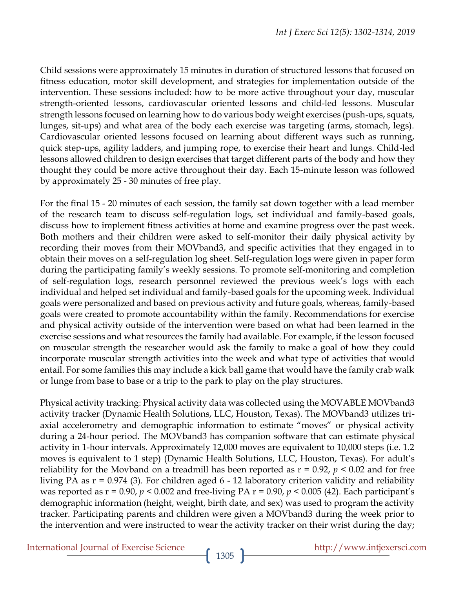Child sessions were approximately 15 minutes in duration of structured lessons that focused on fitness education, motor skill development, and strategies for implementation outside of the intervention. These sessions included: how to be more active throughout your day, muscular strength-oriented lessons, cardiovascular oriented lessons and child-led lessons. Muscular strength lessons focused on learning how to do various body weight exercises (push-ups, squats, lunges, sit-ups) and what area of the body each exercise was targeting (arms, stomach, legs). Cardiovascular oriented lessons focused on learning about different ways such as running, quick step-ups, agility ladders, and jumping rope, to exercise their heart and lungs. Child-led lessons allowed children to design exercises that target different parts of the body and how they thought they could be more active throughout their day. Each 15-minute lesson was followed by approximately 25 - 30 minutes of free play.

For the final 15 - 20 minutes of each session, the family sat down together with a lead member of the research team to discuss self-regulation logs, set individual and family-based goals, discuss how to implement fitness activities at home and examine progress over the past week. Both mothers and their children were asked to self-monitor their daily physical activity by recording their moves from their MOVband3, and specific activities that they engaged in to obtain their moves on a self-regulation log sheet. Self-regulation logs were given in paper form during the participating family's weekly sessions. To promote self-monitoring and completion of self-regulation logs, research personnel reviewed the previous week's logs with each individual and helped set individual and family-based goals for the upcoming week. Individual goals were personalized and based on previous activity and future goals, whereas, family-based goals were created to promote accountability within the family. Recommendations for exercise and physical activity outside of the intervention were based on what had been learned in the exercise sessions and what resources the family had available. For example, if the lesson focused on muscular strength the researcher would ask the family to make a goal of how they could incorporate muscular strength activities into the week and what type of activities that would entail. For some families this may include a kick ball game that would have the family crab walk or lunge from base to base or a trip to the park to play on the play structures.

Physical activity tracking: Physical activity data was collected using the MOVABLE MOVband3 activity tracker (Dynamic Health Solutions, LLC, Houston, Texas). The MOVband3 utilizes triaxial accelerometry and demographic information to estimate "moves" or physical activity during a 24-hour period. The MOVband3 has companion software that can estimate physical activity in 1-hour intervals. Approximately 12,000 moves are equivalent to 10,000 steps (i.e. 1.2 moves is equivalent to 1 step) (Dynamic Health Solutions, LLC, Houston, Texas). For adult's reliability for the Movband on a treadmill has been reported as r = 0.92, *p* < 0.02 and for free living PA as r = 0.974 (3). For children aged 6 - 12 laboratory criterion validity and reliability was reported as r = 0.90, *p* < 0.002 and free-living PA r = 0.90, *p* < 0.005 (42). Each participant's demographic information (height, weight, birth date, and sex) was used to program the activity tracker. Participating parents and children were given a MOVband3 during the week prior to the intervention and were instructed to wear the activity tracker on their wrist during the day;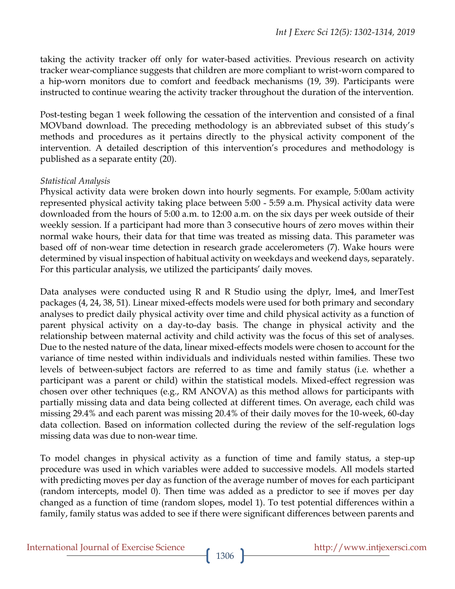taking the activity tracker off only for water-based activities. Previous research on activity tracker wear-compliance suggests that children are more compliant to wrist-worn compared to a hip-worn monitors due to comfort and feedback mechanisms (19, 39). Participants were instructed to continue wearing the activity tracker throughout the duration of the intervention.

Post-testing began 1 week following the cessation of the intervention and consisted of a final MOVband download. The preceding methodology is an abbreviated subset of this study's methods and procedures as it pertains directly to the physical activity component of the intervention. A detailed description of this intervention's procedures and methodology is published as a separate entity (20).

## *Statistical Analysis*

Physical activity data were broken down into hourly segments. For example, 5:00am activity represented physical activity taking place between 5:00 - 5:59 a.m. Physical activity data were downloaded from the hours of 5:00 a.m. to 12:00 a.m. on the six days per week outside of their weekly session. If a participant had more than 3 consecutive hours of zero moves within their normal wake hours, their data for that time was treated as missing data. This parameter was based off of non-wear time detection in research grade accelerometers (7). Wake hours were determined by visual inspection of habitual activity on weekdays and weekend days, separately. For this particular analysis, we utilized the participants' daily moves.

Data analyses were conducted using R and R Studio using the dplyr, lme4, and lmerTest packages (4, 24, 38, 51). Linear mixed-effects models were used for both primary and secondary analyses to predict daily physical activity over time and child physical activity as a function of parent physical activity on a day-to-day basis. The change in physical activity and the relationship between maternal activity and child activity was the focus of this set of analyses. Due to the nested nature of the data, linear mixed-effects models were chosen to account for the variance of time nested within individuals and individuals nested within families. These two levels of between-subject factors are referred to as time and family status (i.e. whether a participant was a parent or child) within the statistical models. Mixed-effect regression was chosen over other techniques (e.g., RM ANOVA) as this method allows for participants with partially missing data and data being collected at different times. On average, each child was missing 29.4% and each parent was missing 20.4% of their daily moves for the 10-week, 60-day data collection. Based on information collected during the review of the self-regulation logs missing data was due to non-wear time.

To model changes in physical activity as a function of time and family status, a step-up procedure was used in which variables were added to successive models. All models started with predicting moves per day as function of the average number of moves for each participant (random intercepts, model 0). Then time was added as a predictor to see if moves per day changed as a function of time (random slopes, model 1). To test potential differences within a family, family status was added to see if there were significant differences between parents and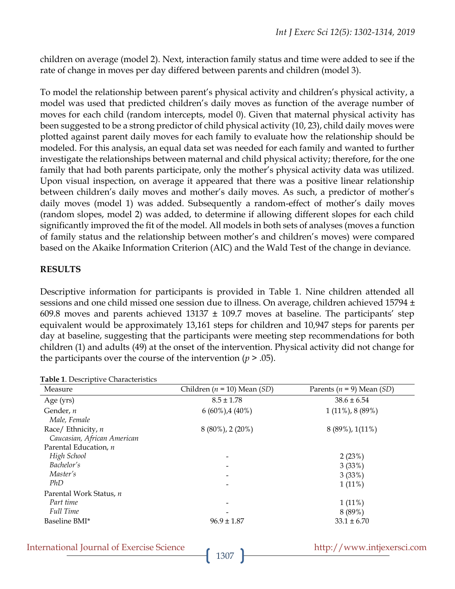children on average (model 2). Next, interaction family status and time were added to see if the rate of change in moves per day differed between parents and children (model 3).

To model the relationship between parent's physical activity and children's physical activity, a model was used that predicted children's daily moves as function of the average number of moves for each child (random intercepts, model 0). Given that maternal physical activity has been suggested to be a strong predictor of child physical activity (10, 23), child daily moves were plotted against parent daily moves for each family to evaluate how the relationship should be modeled. For this analysis, an equal data set was needed for each family and wanted to further investigate the relationships between maternal and child physical activity; therefore, for the one family that had both parents participate, only the mother's physical activity data was utilized. Upon visual inspection, on average it appeared that there was a positive linear relationship between children's daily moves and mother's daily moves. As such, a predictor of mother's daily moves (model 1) was added. Subsequently a random-effect of mother's daily moves (random slopes, model 2) was added, to determine if allowing different slopes for each child significantly improved the fit of the model. All models in both sets of analyses (moves a function of family status and the relationship between mother's and children's moves) were compared based on the Akaike Information Criterion (AIC) and the Wald Test of the change in deviance.

## **RESULTS**

Descriptive information for participants is provided in Table 1. Nine children attended all sessions and one child missed one session due to illness. On average, children achieved 15794 ± 609.8 moves and parents achieved  $13137 \pm 109.7$  moves at baseline. The participants' step equivalent would be approximately 13,161 steps for children and 10,947 steps for parents per day at baseline, suggesting that the participants were meeting step recommendations for both children (1) and adults (49) at the onset of the intervention. Physical activity did not change for the participants over the course of the intervention  $(p > .05)$ .

|  |  | Table 1. Descriptive Characteristics |
|--|--|--------------------------------------|
|--|--|--------------------------------------|

| Measure                     | Children ( $n = 10$ ) Mean (SD) | Parents ( $n = 9$ ) Mean (SD) |
|-----------------------------|---------------------------------|-------------------------------|
| Age (yrs)                   | $8.5 \pm 1.78$                  | $38.6 \pm 6.54$               |
| Gender, n                   | $6(60\%)$ , 4 (40%)             | $1(11\%)$ , 8 $(89\%)$        |
| Male, Female                |                                 |                               |
| Race/ Ethnicity, n          | $8(80\%)$ , 2 $(20\%)$          | 8 (89%), 1(11%)               |
| Caucasian, African American |                                 |                               |
| Parental Education, n       |                                 |                               |
| High School                 |                                 | 2(23%)                        |
| Bachelor's                  |                                 | 3(33%)                        |
| Master's                    |                                 | 3(33%)                        |
| PhD                         |                                 | $1(11\%)$                     |
| Parental Work Status, n     |                                 |                               |
| Part time                   |                                 | $1(11\%)$                     |
| <b>Full Time</b>            |                                 | 8(89%)                        |
| Baseline BMI*               | $96.9 \pm 1.87$                 | $33.1 \pm 6.70$               |

|  | <b>International Journal of Exercise Science</b> |  |  |  |  |
|--|--------------------------------------------------|--|--|--|--|
|--|--------------------------------------------------|--|--|--|--|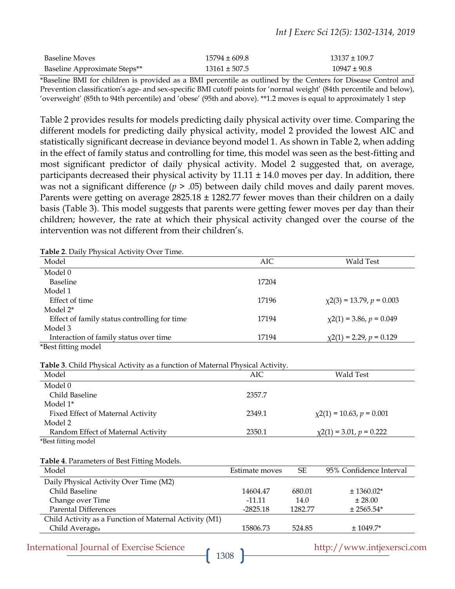#### *Int J Exerc Sci 12(5): 1302-1314, 2019*

| Baseline Moves               | $15794 \pm 609.8$ | $13137 \pm 109.7$ |
|------------------------------|-------------------|-------------------|
| Baseline Approximate Steps** | $13161 \pm 507.5$ | $10947 \pm 90.8$  |

\*Baseline BMI for children is provided as a BMI percentile as outlined by the Centers for Disease Control and Prevention classification's age- and sex-specific BMI cutoff points for 'normal weight' (84th percentile and below), 'overweight' (85th to 94th percentile) and 'obese' (95th and above). \*\*1.2 moves is equal to approximately 1 step

Table 2 provides results for models predicting daily physical activity over time. Comparing the different models for predicting daily physical activity, model 2 provided the lowest AIC and statistically significant decrease in deviance beyond model 1. As shown in Table 2, when adding in the effect of family status and controlling for time, this model was seen as the best-fitting and most significant predictor of daily physical activity. Model 2 suggested that, on average, participants decreased their physical activity by  $11.11 \pm 14.0$  moves per day. In addition, there was not a significant difference ( $p > .05$ ) between daily child moves and daily parent moves. Parents were getting on average  $2825.18 \pm 1282.77$  fewer moves than their children on a daily basis (Table 3). This model suggests that parents were getting fewer moves per day than their children; however, the rate at which their physical activity changed over the course of the intervention was not different from their children's.

**Table 2**. Daily Physical Activity Over Time.

| Model                                        | AIC.  | Wald Test                      |
|----------------------------------------------|-------|--------------------------------|
| Model 0                                      |       |                                |
| <b>Baseline</b>                              | 17204 |                                |
| Model 1                                      |       |                                |
| Effect of time                               | 17196 | $\chi$ 2(3) = 13.79, p = 0.003 |
| Model 2 <sup>*</sup>                         |       |                                |
| Effect of family status controlling for time | 17194 | $\chi$ 2(1) = 3.86, p = 0.049  |
| Model 3                                      |       |                                |
| Interaction of family status over time       | 17194 | $\chi$ 2(1) = 2.29, p = 0.129  |
| *Best fitting model                          |       |                                |

**Table 3**. Child Physical Activity as a function of Maternal Physical Activity.

| AIC.   | Wald Test                      |
|--------|--------------------------------|
|        |                                |
| 2357.7 |                                |
|        |                                |
| 2349.1 | $\chi$ 2(1) = 10.63, p = 0.001 |
|        |                                |
| 2350.1 | $\chi$ 2(1) = 3.01, p = 0.222  |
|        |                                |

\*Best fitting model

#### **Table 4**. Parameters of Best Fitting Models.

| Model                                                  | <b>SE</b><br>Estimate moves |         | 95% Confidence Interval |  |
|--------------------------------------------------------|-----------------------------|---------|-------------------------|--|
| Daily Physical Activity Over Time (M2)                 |                             |         |                         |  |
| Child Baseline                                         | 14604.47                    | 680.01  | $\pm$ 1360.02*          |  |
| Change over Time                                       | $-11.11$                    | 14.0    | ± 28.00                 |  |
| <b>Parental Differences</b>                            | $-2825.18$                  | 1282.77 | $± 2565.54*$            |  |
| Child Activity as a Function of Maternal Activity (M1) |                             |         |                         |  |
| Child Average <sub>a</sub>                             | 15806.73                    | 524.85  | $± 1049.7*$             |  |

International Journal of Exercise Science http://www.intjexersci.com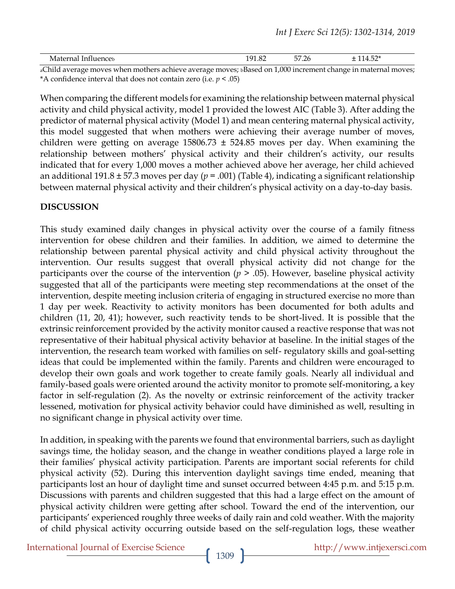| Maternal Influenceь                                                                                          | 191.82 | 57.26 | $+114.52*$ |
|--------------------------------------------------------------------------------------------------------------|--------|-------|------------|
| aChild average moves when mothers achieve average moves; bBased on 1,000 increment change in maternal moves; |        |       |            |

\*A confidence interval that does not contain zero (i.e.  $p < .05$ )

When comparing the different models for examining the relationship between maternal physical activity and child physical activity, model 1 provided the lowest AIC (Table 3). After adding the predictor of maternal physical activity (Model 1) and mean centering maternal physical activity, this model suggested that when mothers were achieving their average number of moves, children were getting on average  $15806.73 \pm 524.85$  moves per day. When examining the relationship between mothers' physical activity and their children's activity, our results indicated that for every 1,000 moves a mother achieved above her average, her child achieved an additional 191.8 ± 57.3 moves per day (*p* = .001) (Table 4), indicating a significant relationship between maternal physical activity and their children's physical activity on a day-to-day basis.

## **DISCUSSION**

This study examined daily changes in physical activity over the course of a family fitness intervention for obese children and their families. In addition, we aimed to determine the relationship between parental physical activity and child physical activity throughout the intervention. Our results suggest that overall physical activity did not change for the participants over the course of the intervention ( $p > .05$ ). However, baseline physical activity suggested that all of the participants were meeting step recommendations at the onset of the intervention, despite meeting inclusion criteria of engaging in structured exercise no more than 1 day per week. Reactivity to activity monitors has been documented for both adults and children (11, 20, 41); however, such reactivity tends to be short-lived. It is possible that the extrinsic reinforcement provided by the activity monitor caused a reactive response that was not representative of their habitual physical activity behavior at baseline. In the initial stages of the intervention, the research team worked with families on self- regulatory skills and goal-setting ideas that could be implemented within the family. Parents and children were encouraged to develop their own goals and work together to create family goals. Nearly all individual and family-based goals were oriented around the activity monitor to promote self-monitoring, a key factor in self-regulation (2). As the novelty or extrinsic reinforcement of the activity tracker lessened, motivation for physical activity behavior could have diminished as well, resulting in no significant change in physical activity over time.

In addition, in speaking with the parents we found that environmental barriers, such as daylight savings time, the holiday season, and the change in weather conditions played a large role in their families' physical activity participation. Parents are important social referents for child physical activity (52). During this intervention daylight savings time ended, meaning that participants lost an hour of daylight time and sunset occurred between 4:45 p.m. and 5:15 p.m. Discussions with parents and children suggested that this had a large effect on the amount of physical activity children were getting after school. Toward the end of the intervention, our participants' experienced roughly three weeks of daily rain and cold weather. With the majority of child physical activity occurring outside based on the self-regulation logs, these weather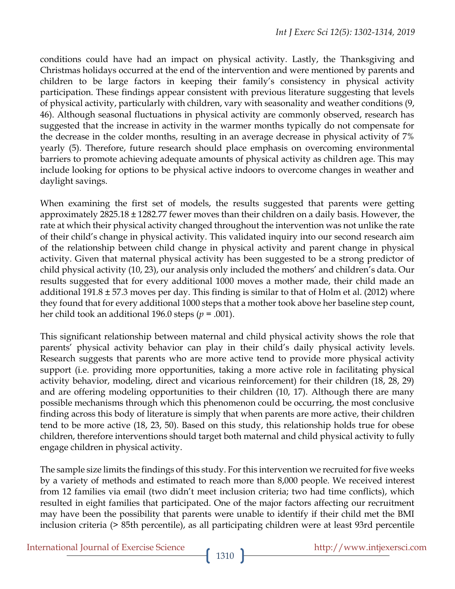conditions could have had an impact on physical activity. Lastly, the Thanksgiving and Christmas holidays occurred at the end of the intervention and were mentioned by parents and children to be large factors in keeping their family's consistency in physical activity participation. These findings appear consistent with previous literature suggesting that levels of physical activity, particularly with children, vary with seasonality and weather conditions (9, 46). Although seasonal fluctuations in physical activity are commonly observed, research has suggested that the increase in activity in the warmer months typically do not compensate for the decrease in the colder months, resulting in an average decrease in physical activity of 7% yearly (5). Therefore, future research should place emphasis on overcoming environmental barriers to promote achieving adequate amounts of physical activity as children age. This may include looking for options to be physical active indoors to overcome changes in weather and daylight savings.

When examining the first set of models, the results suggested that parents were getting approximately  $2825.18 \pm 1282.77$  fewer moves than their children on a daily basis. However, the rate at which their physical activity changed throughout the intervention was not unlike the rate of their child's change in physical activity. This validated inquiry into our second research aim of the relationship between child change in physical activity and parent change in physical activity. Given that maternal physical activity has been suggested to be a strong predictor of child physical activity (10, 23), our analysis only included the mothers' and children's data. Our results suggested that for every additional 1000 moves a mother made, their child made an additional 191.8  $\pm$  57.3 moves per day. This finding is similar to that of Holm et al. (2012) where they found that for every additional 1000 steps that a mother took above her baseline step count, her child took an additional 196.0 steps (*p* = .001).

This significant relationship between maternal and child physical activity shows the role that parents' physical activity behavior can play in their child's daily physical activity levels. Research suggests that parents who are more active tend to provide more physical activity support (i.e. providing more opportunities, taking a more active role in facilitating physical activity behavior, modeling, direct and vicarious reinforcement) for their children (18, 28, 29) and are offering modeling opportunities to their children (10, 17). Although there are many possible mechanisms through which this phenomenon could be occurring, the most conclusive finding across this body of literature is simply that when parents are more active, their children tend to be more active (18, 23, 50). Based on this study, this relationship holds true for obese children, therefore interventions should target both maternal and child physical activity to fully engage children in physical activity.

The sample size limits the findings of this study. For this intervention we recruited for five weeks by a variety of methods and estimated to reach more than 8,000 people. We received interest from 12 families via email (two didn't meet inclusion criteria; two had time conflicts), which resulted in eight families that participated. One of the major factors affecting our recruitment may have been the possibility that parents were unable to identify if their child met the BMI inclusion criteria (> 85th percentile), as all participating children were at least 93rd percentile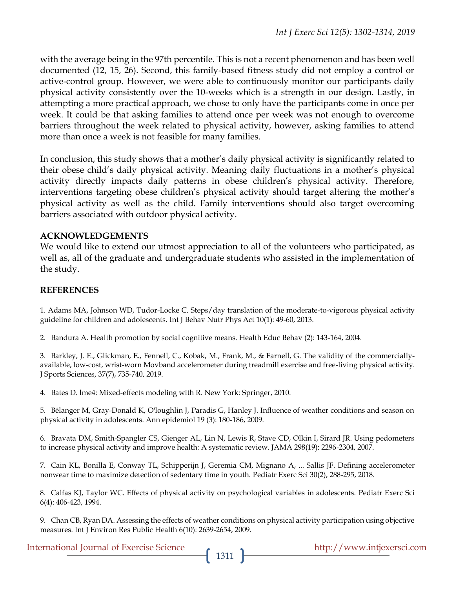with the average being in the 97th percentile. This is not a recent phenomenon and has been well documented (12, 15, 26). Second, this family-based fitness study did not employ a control or active-control group. However, we were able to continuously monitor our participants daily physical activity consistently over the 10-weeks which is a strength in our design. Lastly, in attempting a more practical approach, we chose to only have the participants come in once per week. It could be that asking families to attend once per week was not enough to overcome barriers throughout the week related to physical activity, however, asking families to attend more than once a week is not feasible for many families.

In conclusion, this study shows that a mother's daily physical activity is significantly related to their obese child's daily physical activity. Meaning daily fluctuations in a mother's physical activity directly impacts daily patterns in obese children's physical activity. Therefore, interventions targeting obese children's physical activity should target altering the mother's physical activity as well as the child. Family interventions should also target overcoming barriers associated with outdoor physical activity.

## **ACKNOWLEDGEMENTS**

We would like to extend our utmost appreciation to all of the volunteers who participated, as well as, all of the graduate and undergraduate students who assisted in the implementation of the study.

## **REFERENCES**

1. Adams MA, Johnson WD, Tudor-Locke C. Steps/day translation of the moderate-to-vigorous physical activity guideline for children and adolescents. Int J Behav Nutr Phys Act 10(1): 49-60, 2013.

2. Bandura A. Health promotion by social cognitive means. Health Educ Behav (2): 143-164, 2004.

3. Barkley, J. E., Glickman, E., Fennell, C., Kobak, M., Frank, M., & Farnell, G. The validity of the commerciallyavailable, low-cost, wrist-worn Movband accelerometer during treadmill exercise and free-living physical activity. J Sports Sciences, 37(7), 735-740, 2019.

4. Bates D. lme4: Mixed-effects modeling with R. New York: Springer, 2010.

5. Bélanger M, Gray-Donald K, O'loughlin J, Paradis G, Hanley J. Influence of weather conditions and season on physical activity in adolescents. Ann epidemiol 19 (3): 180-186, 2009.

6. Bravata DM, Smith-Spangler CS, Gienger AL, Lin N, Lewis R, Stave CD, Olkin I, Sirard JR. Using pedometers to increase physical activity and improve health: A systematic review. JAMA 298(19): 2296-2304, 2007.

7. Cain KL, Bonilla E, Conway TL, Schipperijn J, Geremia CM, Mignano A, ... Sallis JF. Defining accelerometer nonwear time to maximize detection of sedentary time in youth. Pediatr Exerc Sci 30(2), 288-295, 2018.

8. Calfas KJ, Taylor WC. Effects of physical activity on psychological variables in adolescents. Pediatr Exerc Sci 6(4): 406-423, 1994.

9. Chan CB, Ryan DA. Assessing the effects of weather conditions on physical activity participation using objective measures. Int J Environ Res Public Health 6(10): 2639-2654, 2009.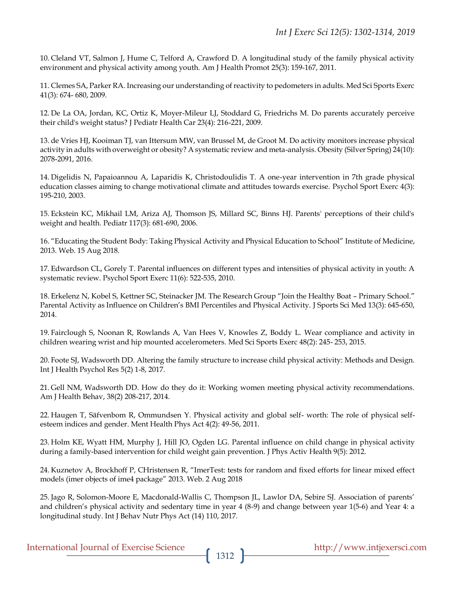10. Cleland VT, Salmon J, Hume C, Telford A, Crawford D. A longitudinal study of the family physical activity environment and physical activity among youth. Am J Health Promot 25(3): 159-167, 2011.

11. Clemes SA, Parker RA. Increasing our understanding of reactivity to pedometers in adults. Med Sci Sports Exerc 41(3): 674- 680, 2009.

12. De La OA, Jordan, KC, Ortiz K, Moyer-Mileur LJ, Stoddard G, Friedrichs M. Do parents accurately perceive their child's weight status? J Pediatr Health Car 23(4): 216-221, 2009.

13. de Vries HJ, Kooiman TJ, van Ittersum MW, van Brussel M, de Groot M. Do activity monitors increase physical activity in adults with overweight or obesity? A systematic review and meta-analysis. Obesity(Silver Spring) 24(10): 2078-2091, 2016.

14. Digelidis N, Papaioannou A, Laparidis K, Christodoulidis T. A one-year intervention in 7th grade physical education classes aiming to change motivational climate and attitudes towards exercise. Psychol Sport Exerc 4(3): 195-210, 2003.

15. Eckstein KC, Mikhail LM, Ariza AJ, Thomson JS, Millard SC, Binns HJ. Parents' perceptions of their child's weight and health. Pediatr 117(3): 681-690, 2006.

16. "Educating the Student Body: Taking Physical Activity and Physical Education to School" Institute of Medicine, 2013. Web. 15 Aug 2018.

17. Edwardson CL, Gorely T. Parental influences on different types and intensities of physical activity in youth: A systematic review. Psychol Sport Exerc 11(6): 522-535, 2010.

18. Erkelenz N, Kobel S, Kettner SC, Steinacker JM. The Research Group "Join the Healthy Boat – Primary School." Parental Activity as Influence on Children's BMI Percentiles and Physical Activity. J Sports Sci Med 13(3): 645-650, 2014.

19.Fairclough S, Noonan R, Rowlands A, Van Hees V, Knowles Z, Boddy L. Wear compliance and activity in children wearing wrist and hip mounted accelerometers. Med Sci Sports Exerc 48(2): 245- 253, 2015.

20.Foote SJ, Wadsworth DD. Altering the family structure to increase child physical activity: Methods and Design. Int J Health Psychol Res 5(2) 1-8, 2017.

21. Gell NM, Wadsworth DD. How do they do it: Working women meeting physical activity recommendations. Am J Health Behav, 38(2) 208-217, 2014.

22. Haugen T, Säfvenbom R, Ommundsen Y. Physical activity and global self- worth: The role of physical selfesteem indices and gender. Ment Health Phys Act 4(2): 49-56, 2011.

23. Holm KE, Wyatt HM, Murphy J, Hill JO, Ogden LG. Parental influence on child change in physical activity during a family-based intervention for child weight gain prevention. J Phys Activ Health 9(5): 2012.

24. Kuznetov A, Brockhoff P, CHristensen R, "ImerTest: tests for random and fixed efforts for linear mixed effect models (imer objects of ime4 package" 2013. Web. 2 Aug 2018

25. Jago R, Solomon-Moore E, Macdonald-Wallis C, Thompson JL, Lawlor DA, Sebire SJ. Association of parents' and children's physical activity and sedentary time in year 4 (8-9) and change between year 1(5-6) and Year 4: a longitudinal study. Int J Behav Nutr Phys Act (14) 110, 2017.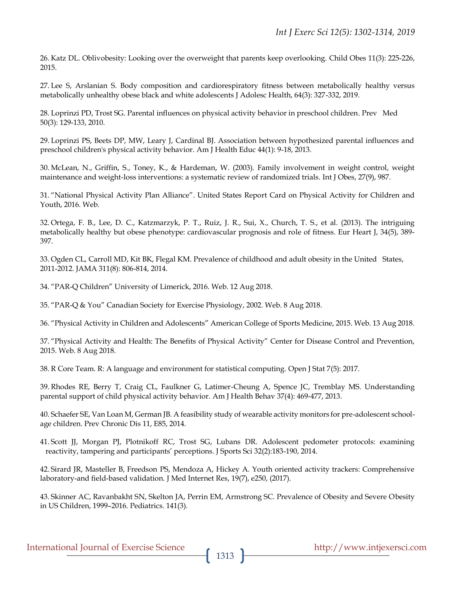26. Katz DL. Oblivobesity: Looking over the overweight that parents keep overlooking. Child Obes 11(3): 225-226, 2015.

27. Lee S, Arslanian S. Body composition and cardiorespiratory fitness between metabolically healthy versus metabolically unhealthy obese black and white adolescents J Adolesc Health, 64(3): 327-332, 2019.

28. Loprinzi PD, Trost SG. Parental influences on physical activity behavior in preschool children. Prev Med 50(3): 129-133, 2010.

29. Loprinzi PS, Beets DP, MW, Leary J, Cardinal BJ. Association between hypothesized parental influences and preschool children's physical activity behavior. Am J Health Educ 44(1): 9-18, 2013.

30. McLean, N., Griffin, S., Toney, K., & Hardeman, W. (2003). Family involvement in weight control, weight maintenance and weight-loss interventions: a systematic review of randomized trials. Int J Obes, 27(9), 987.

31. "National Physical Activity Plan Alliance". United States Report Card on Physical Activity for Children and Youth, 2016. Web.

32. Ortega, F. B., Lee, D. C., Katzmarzyk, P. T., Ruiz, J. R., Sui, X., Church, T. S., et al. (2013). The intriguing metabolically healthy but obese phenotype: cardiovascular prognosis and role of fitness. Eur Heart J, 34(5), 389- 397.

33. Ogden CL, Carroll MD, Kit BK, Flegal KM. Prevalence of childhood and adult obesity in the United States, 2011-2012. JAMA 311(8): 806-814, 2014.

34. "PAR-Q Children" University of Limerick, 2016. Web. 12 Aug 2018.

35. "PAR-Q & You" Canadian Society for Exercise Physiology, 2002. Web. 8 Aug 2018.

36. "Physical Activity in Children and Adolescents" American College of Sports Medicine, 2015. Web. 13 Aug 2018.

37. "Physical Activity and Health: The Benefits of Physical Activity" Center for Disease Control and Prevention, 2015. Web. 8 Aug 2018.

38. R Core Team. R: A language and environment for statistical computing. Open J Stat 7(5): 2017.

39. Rhodes RE, Berry T, Craig CL, Faulkner G, Latimer-Cheung A, Spence JC, Tremblay MS. Understanding parental support of child physical activity behavior. Am J Health Behav 37(4): 469-477, 2013.

40. Schaefer SE, Van Loan M, German JB. A feasibility study of wearable activity monitors for pre-adolescent schoolage children. Prev Chronic Dis 11, E85, 2014.

41. Scott JJ, Morgan PJ, Plotnikoff RC, Trost SG, Lubans DR. Adolescent pedometer protocols: examining reactivity, tampering and participants' perceptions. J Sports Sci 32(2):183-190, 2014.

42. Sirard JR, Masteller B, Freedson PS, Mendoza A, Hickey A. Youth oriented activity trackers: Comprehensive laboratory-and field-based validation. J Med Internet Res, 19(7), e250, (2017).

43. Skinner AC, Ravanbakht SN, Skelton JA, Perrin EM, Armstrong SC. Prevalence of Obesity and Severe Obesity in US Children, 1999–2016. Pediatrics. 141(3).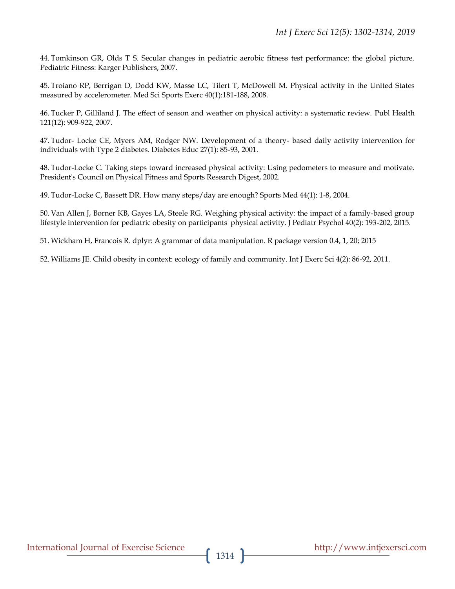44. Tomkinson GR, Olds T S. Secular changes in pediatric aerobic fitness test performance: the global picture. Pediatric Fitness: Karger Publishers, 2007.

45. Troiano RP, Berrigan D, Dodd KW, Masse LC, Tilert T, McDowell M. Physical activity in the United States measured by accelerometer. Med Sci Sports Exerc 40(1):181-188, 2008.

46. Tucker P, Gilliland J. The effect of season and weather on physical activity: a systematic review. Publ Health 121(12): 909-922, 2007.

47. Tudor- Locke CE, Myers AM, Rodger NW. Development of a theory- based daily activity intervention for individuals with Type 2 diabetes. Diabetes Educ 27(1): 85-93, 2001.

48. Tudor-Locke C. Taking steps toward increased physical activity: Using pedometers to measure and motivate. President's Council on Physical Fitness and Sports Research Digest, 2002.

49. Tudor-Locke C, Bassett DR. How many steps/day are enough? Sports Med 44(1): 1-8, 2004.

50. Van Allen J, Borner KB, Gayes LA, Steele RG. Weighing physical activity: the impact of a family-based group lifestyle intervention for pediatric obesity on participants' physical activity. J Pediatr Psychol 40(2): 193-202, 2015.

51. Wickham H, Francois R. dplyr: A grammar of data manipulation. R package version 0.4, 1, 20; 2015

52. Williams JE. Child obesity in context: ecology of family and community. Int J Exerc Sci 4(2): 86-92, 2011.